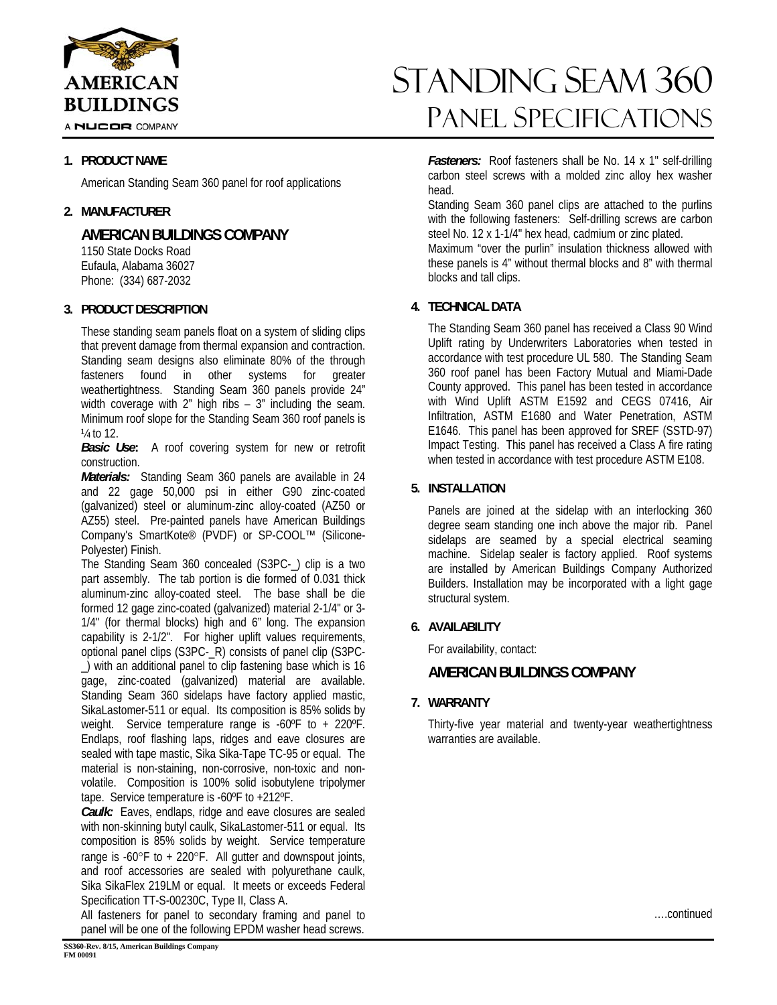

A NUCOR COMPANY

## **1. PRODUCT NAME**

American Standing Seam 360 panel for roof applications

#### **2. MANUFACTURER**

**AMERICAN BUILDINGS COMPANY** 

 1150 State Docks Road Eufaula, Alabama 36027 Phone: (334) 687-2032

#### **3. PRODUCT DESCRIPTION**

These standing seam panels float on a system of sliding clips that prevent damage from thermal expansion and contraction. Standing seam designs also eliminate 80% of the through fasteners found in other systems for greater weathertightness. Standing Seam 360 panels provide 24" width coverage with 2" high ribs – 3" including the seam. Minimum roof slope for the Standing Seam 360 roof panels is  $\frac{1}{4}$  to 12.

*Basic Use***:** A roof covering system for new or retrofit construction.

*Materials:* Standing Seam 360 panels are available in 24 and 22 gage 50,000 psi in either G90 zinc-coated (galvanized) steel or aluminum-zinc alloy-coated (AZ50 or AZ55) steel. Pre-painted panels have American Buildings Company's SmartKote® (PVDF) or SP-COOL™ (Silicone-Polyester) Finish.

The Standing Seam 360 concealed (S3PC-\_) clip is a two part assembly. The tab portion is die formed of 0.031 thick aluminum-zinc alloy-coated steel. The base shall be die formed 12 gage zinc-coated (galvanized) material 2-1/4" or 3- 1/4" (for thermal blocks) high and 6" long. The expansion capability is 2-1/2". For higher uplift values requirements, optional panel clips (S3PC-\_R) consists of panel clip (S3PC- \_) with an additional panel to clip fastening base which is 16 gage, zinc-coated (galvanized) material are available. Standing Seam 360 sidelaps have factory applied mastic, SikaLastomer-511 or equal. Its composition is 85% solids by weight. Service temperature range is -60ºF to + 220ºF. Endlaps, roof flashing laps, ridges and eave closures are sealed with tape mastic, Sika Sika-Tape TC-95 or equal. The material is non-staining, non-corrosive, non-toxic and nonvolatile. Composition is 100% solid isobutylene tripolymer tape. Service temperature is -60ºF to +212ºF.

*Caulk:* Eaves, endlaps, ridge and eave closures are sealed with non-skinning butyl caulk, SikaLastomer-511 or equal. Its composition is 85% solids by weight. Service temperature range is  $-60^{\circ}$ F to  $+220^{\circ}$ F. All gutter and downspout joints, and roof accessories are sealed with polyurethane caulk, Sika SikaFlex 219LM or equal. It meets or exceeds Federal Specification TT-S-00230C, Type II, Class A.

All fasteners for panel to secondary framing and panel to panel will be one of the following EPDM washer head screws.

# blocks and tall clips. **4. TECHNICAL DATA**

head.

The Standing Seam 360 panel has received a Class 90 Wind Uplift rating by Underwriters Laboratories when tested in accordance with test procedure UL 580. The Standing Seam 360 roof panel has been Factory Mutual and Miami-Dade County approved. This panel has been tested in accordance with Wind Uplift ASTM E1592 and CEGS 07416, Air Infiltration, ASTM E1680 and Water Penetration, ASTM E1646. This panel has been approved for SREF (SSTD-97) Impact Testing. This panel has received a Class A fire rating when tested in accordance with test procedure ASTM E108.

standing seam 360

Panel Specifications

*Fasteners:* Roof fasteners shall be No. 14 x 1" self-drilling carbon steel screws with a molded zinc alloy hex washer

Standing Seam 360 panel clips are attached to the purlins with the following fasteners: Self-drilling screws are carbon steel No. 12 x 1-1/4" hex head, cadmium or zinc plated. Maximum "over the purlin" insulation thickness allowed with these panels is 4" without thermal blocks and 8" with thermal

## **5. INSTALLATION**

Panels are joined at the sidelap with an interlocking 360 degree seam standing one inch above the major rib. Panel sidelaps are seamed by a special electrical seaming machine. Sidelap sealer is factory applied. Roof systems are installed by American Buildings Company Authorized Builders. Installation may be incorporated with a light gage structural system.

# **6. AVAILABILITY**

For availability, contact:

# **AMERICAN BUILDINGS COMPANY**

**7. WARRANTY** 

Thirty-five year material and twenty-year weathertightness warranties are available.

….continued